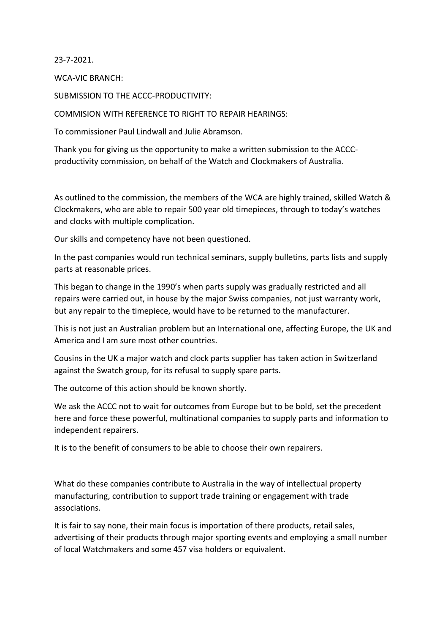23-7-2021.

WCA-VIC BRANCH:

SUBMISSION TO THE ACCC-PRODUCTIVITY:

COMMISION WITH REFERENCE TO RIGHT TO REPAIR HEARINGS:

To commissioner Paul Lindwall and Julie Abramson.

Thank you for giving us the opportunity to make a written submission to the ACCCproductivity commission, on behalf of the Watch and Clockmakers of Australia.

As outlined to the commission, the members of the WCA are highly trained, skilled Watch & Clockmakers, who are able to repair 500 year old timepieces, through to today's watches and clocks with multiple complication.

Our skills and competency have not been questioned.

In the past companies would run technical seminars, supply bulletins, parts lists and supply parts at reasonable prices.

This began to change in the 1990's when parts supply was gradually restricted and all repairs were carried out, in house by the major Swiss companies, not just warranty work, but any repair to the timepiece, would have to be returned to the manufacturer.

This is not just an Australian problem but an International one, affecting Europe, the UK and America and I am sure most other countries.

Cousins in the UK a major watch and clock parts supplier has taken action in Switzerland against the Swatch group, for its refusal to supply spare parts.

The outcome of this action should be known shortly.

We ask the ACCC not to wait for outcomes from Europe but to be bold, set the precedent here and force these powerful, multinational companies to supply parts and information to independent repairers.

It is to the benefit of consumers to be able to choose their own repairers.

What do these companies contribute to Australia in the way of intellectual property manufacturing, contribution to support trade training or engagement with trade associations.

It is fair to say none, their main focus is importation of there products, retail sales, advertising of their products through major sporting events and employing a small number of local Watchmakers and some 457 visa holders or equivalent.